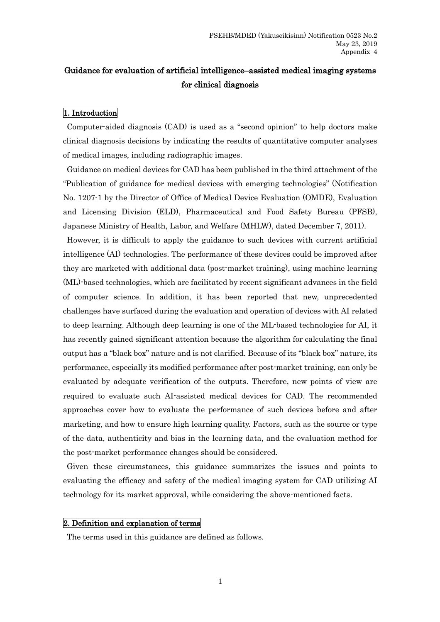# Guidance for evaluation of artificial intelligence–assisted medical imaging systems for clinical diagnosis

# 1. Introduction

Computer-aided diagnosis (CAD) is used as a "second opinion" to help doctors make clinical diagnosis decisions by indicating the results of quantitative computer analyses of medical images, including radiographic images.

Guidance on medical devices for CAD has been published in the third attachment of the "Publication of guidance for medical devices with emerging technologies" (Notification No. 1207-1 by the Director of Office of Medical Device Evaluation (OMDE), Evaluation and Licensing Division (ELD), Pharmaceutical and Food Safety Bureau (PFSB), Japanese Ministry of Health, Labor, and Welfare (MHLW), dated December 7, 2011).

However, it is difficult to apply the guidance to such devices with current artificial intelligence (AI) technologies. The performance of these devices could be improved after they are marketed with additional data (post-market training), using machine learning (ML)-based technologies, which are facilitated by recent significant advances in the field of computer science. In addition, it has been reported that new, unprecedented challenges have surfaced during the evaluation and operation of devices with AI related to deep learning. Although deep learning is one of the ML-based technologies for AI, it has recently gained significant attention because the algorithm for calculating the final output has a "black box" nature and is not clarified. Because of its "black box" nature, its performance, especially its modified performance after post-market training, can only be evaluated by adequate verification of the outputs. Therefore, new points of view are required to evaluate such AI-assisted medical devices for CAD. The recommended approaches cover how to evaluate the performance of such devices before and after marketing, and how to ensure high learning quality. Factors, such as the source or type of the data, authenticity and bias in the learning data, and the evaluation method for the post-market performance changes should be considered.

Given these circumstances, this guidance summarizes the issues and points to evaluating the efficacy and safety of the medical imaging system for CAD utilizing AI technology for its market approval, while considering the above-mentioned facts.

# 2. Definition and explanation of terms

The terms used in this guidance are defined as follows.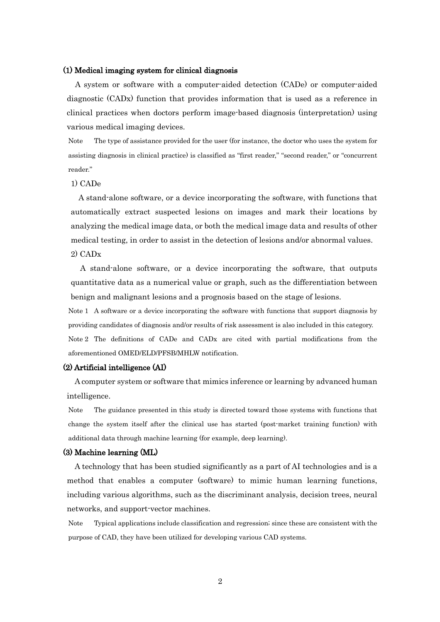#### (1) Medical imaging system for clinical diagnosis

A system or software with a computer-aided detection (CADe) or computer-aided diagnostic (CADx) function that provides information that is used as a reference in clinical practices when doctors perform image-based diagnosis (interpretation) using various medical imaging devices.

Note The type of assistance provided for the user (for instance, the doctor who uses the system for assisting diagnosis in clinical practice) is classified as "first reader," "second reader," or "concurrent reader."

# 1) CADe

A stand-alone software, or a device incorporating the software, with functions that automatically extract suspected lesions on images and mark their locations by analyzing the medical image data, or both the medical image data and results of other medical testing, in order to assist in the detection of lesions and/or abnormal values. 2) CADx

A stand-alone software, or a device incorporating the software, that outputs quantitative data as a numerical value or graph, such as the differentiation between benign and malignant lesions and a prognosis based on the stage of lesions.

Note 1 A software or a device incorporating the software with functions that support diagnosis by providing candidates of diagnosis and/or results of risk assessment is also included in this category.

Note 2 The definitions of CADe and CADx are cited with partial modifications from the aforementioned OMED/ELD/PFSB/MHLW notification.

## (2) Artificial intelligence (AI)

A computer system or software that mimics inference or learning by advanced human intelligence.

Note The guidance presented in this study is directed toward those systems with functions that change the system itself after the clinical use has started (post-market training function) with additional data through machine learning (for example, deep learning).

### (3) Machine learning (ML)

A technology that has been studied significantly as a part of AI technologies and is a method that enables a computer (software) to mimic human learning functions, including various algorithms, such as the discriminant analysis, decision trees, neural networks, and support-vector machines.

Note Typical applications include classification and regression; since these are consistent with the purpose of CAD, they have been utilized for developing various CAD systems.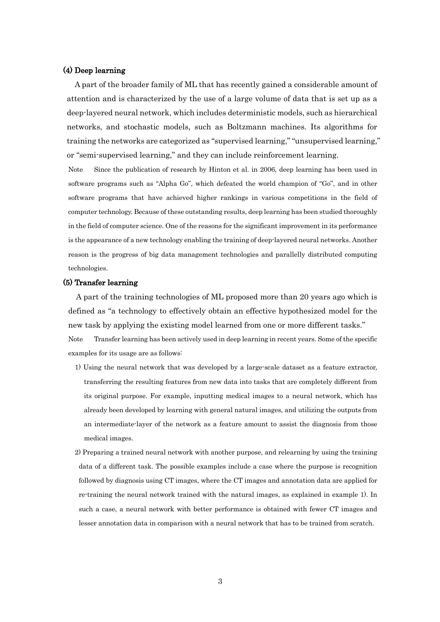#### (4) Deep learning

A part of the broader family of ML that has recently gained a considerable amount of attention and is characterized by the use of a large volume of data that is set up as a deep-layered neural network, which includes deterministic models, such as hierarchical networks, and stochastic models, such as Boltzmann machines. Its algorithms for training the networks are categorized as "supervised learning," "unsupervised learning," or "semi-supervised learning," and they can include reinforcement learning.

Note Since the publication of research by Hinton et al. in 2006, deep learning has been used in software programs such as "Alpha Go", which defeated the world champion of "Go", and in other software programs that have achieved higher rankings in various competitions in the field of computer technology. Because of these outstanding results, deep learning has been studied thoroughly in the field of computer science. One of the reasons for the significant improvement in its performance is the appearance of a new technology enabling the training of deep-layered neural networks. Another reason is the progress of big data management technologies and parallelly distributed computing technologies.

#### (5) Transfer learning

A part of the training technologies of ML proposed more than 20 years ago which is defined as "a technology to effectively obtain an effective hypothesized model for the new task by applying the existing model learned from one or more different tasks."

Note Transfer learning has been actively used in deep learning in recent years. Some of the specific examples for its usage are as follows:

- 1) Using the neural network that was developed by a large-scale dataset as a feature extractor, transferring the resulting features from new data into tasks that are completely different from its original purpose. For example, inputting medical images to a neural network, which has already been developed by learning with general natural images, and utilizing the outputs from an intermediate-layer of the network as a feature amount to assist the diagnosis from those medical images.
- 2) Preparing a trained neural network with another purpose, and relearning by using the training data of a different task. The possible examples include a case where the purpose is recognition followed by diagnosis using CT images, where the CT images and annotation data are applied for re-training the neural network trained with the natural images, as explained in example 1). In such a case, a neural network with better performance is obtained with fewer CT images and lesser annotation data in comparison with a neural network that has to be trained from scratch.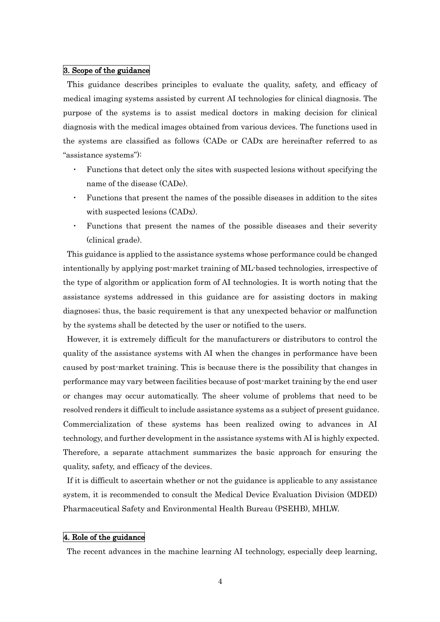#### 3. Scope of the guidance

This guidance describes principles to evaluate the quality, safety, and efficacy of medical imaging systems assisted by current AI technologies for clinical diagnosis. The purpose of the systems is to assist medical doctors in making decision for clinical diagnosis with the medical images obtained from various devices. The functions used in the systems are classified as follows (CADe or CADx are hereinafter referred to as "assistance systems"):

- Functions that detect only the sites with suspected lesions without specifying the name of the disease (CADe).
- Functions that present the names of the possible diseases in addition to the sites with suspected lesions (CAD<sub>x</sub>).
- ・ Functions that present the names of the possible diseases and their severity (clinical grade).

This guidance is applied to the assistance systems whose performance could be changed intentionally by applying post-market training of ML-based technologies, irrespective of the type of algorithm or application form of AI technologies. It is worth noting that the assistance systems addressed in this guidance are for assisting doctors in making diagnoses; thus, the basic requirement is that any unexpected behavior or malfunction by the systems shall be detected by the user or notified to the users.

However, it is extremely difficult for the manufacturers or distributors to control the quality of the assistance systems with AI when the changes in performance have been caused by post-market training. This is because there is the possibility that changes in performance may vary between facilities because of post-market training by the end user or changes may occur automatically. The sheer volume of problems that need to be resolved renders it difficult to include assistance systems as a subject of present guidance. Commercialization of these systems has been realized owing to advances in AI technology, and further development in the assistance systems with AI is highly expected. Therefore, a separate attachment summarizes the basic approach for ensuring the quality, safety, and efficacy of the devices.

If it is difficult to ascertain whether or not the guidance is applicable to any assistance system, it is recommended to consult the Medical Device Evaluation Division (MDED) Pharmaceutical Safety and Environmental Health Bureau (PSEHB), MHLW.

### 4. Role of the guidance

The recent advances in the machine learning AI technology, especially deep learning,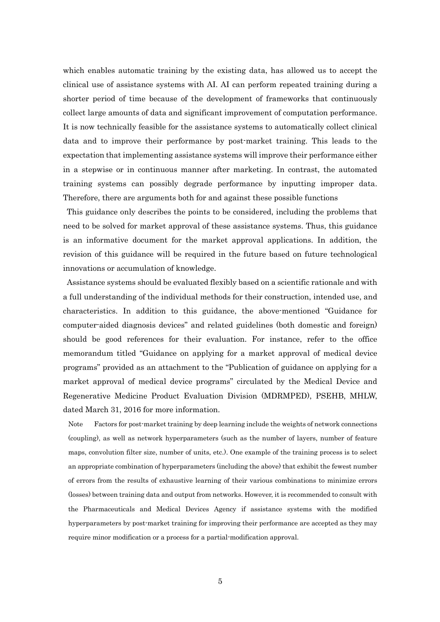which enables automatic training by the existing data, has allowed us to accept the clinical use of assistance systems with AI. AI can perform repeated training during a shorter period of time because of the development of frameworks that continuously collect large amounts of data and significant improvement of computation performance. It is now technically feasible for the assistance systems to automatically collect clinical data and to improve their performance by post-market training. This leads to the expectation that implementing assistance systems will improve their performance either in a stepwise or in continuous manner after marketing. In contrast, the automated training systems can possibly degrade performance by inputting improper data. Therefore, there are arguments both for and against these possible functions

This guidance only describes the points to be considered, including the problems that need to be solved for market approval of these assistance systems. Thus, this guidance is an informative document for the market approval applications. In addition, the revision of this guidance will be required in the future based on future technological innovations or accumulation of knowledge.

Assistance systems should be evaluated flexibly based on a scientific rationale and with a full understanding of the individual methods for their construction, intended use, and characteristics. In addition to this guidance, the above-mentioned "Guidance for computer-aided diagnosis devices" and related guidelines (both domestic and foreign) should be good references for their evaluation. For instance, refer to the office memorandum titled "Guidance on applying for a market approval of medical device programs" provided as an attachment to the "Publication of guidance on applying for a market approval of medical device programs" circulated by the Medical Device and Regenerative Medicine Product Evaluation Division (MDRMPED), PSEHB, MHLW, dated March 31, 2016 for more information.

Note Factors for post-market training by deep learning include the weights of network connections (coupling), as well as network hyperparameters (such as the number of layers, number of feature maps, convolution filter size, number of units, etc.). One example of the training process is to select an appropriate combination of hyperparameters (including the above) that exhibit the fewest number of errors from the results of exhaustive learning of their various combinations to minimize errors (losses) between training data and output from networks. However, it is recommended to consult with the Pharmaceuticals and Medical Devices Agency if assistance systems with the modified hyperparameters by post-market training for improving their performance are accepted as they may require minor modification or a process for a partial-modification approval.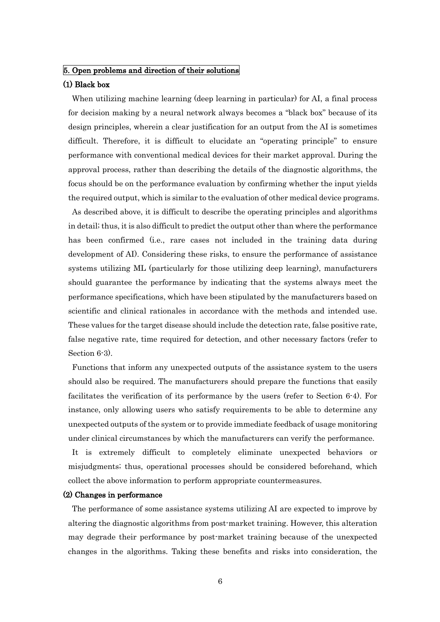# 5. Open problems and direction of their solutions

## (1) Black box

When utilizing machine learning (deep learning in particular) for AI, a final process for decision making by a neural network always becomes a "black box" because of its design principles, wherein a clear justification for an output from the AI is sometimes difficult. Therefore, it is difficult to elucidate an "operating principle" to ensure performance with conventional medical devices for their market approval. During the approval process, rather than describing the details of the diagnostic algorithms, the focus should be on the performance evaluation by confirming whether the input yields the required output, which is similar to the evaluation of other medical device programs.

As described above, it is difficult to describe the operating principles and algorithms in detail; thus, it is also difficult to predict the output other than where the performance has been confirmed (i.e., rare cases not included in the training data during development of AI). Considering these risks, to ensure the performance of assistance systems utilizing ML (particularly for those utilizing deep learning), manufacturers should guarantee the performance by indicating that the systems always meet the performance specifications, which have been stipulated by the manufacturers based on scientific and clinical rationales in accordance with the methods and intended use. These values for the target disease should include the detection rate, false positive rate, false negative rate, time required for detection, and other necessary factors (refer to Section 6-3).

Functions that inform any unexpected outputs of the assistance system to the users should also be required. The manufacturers should prepare the functions that easily facilitates the verification of its performance by the users (refer to Section 6-4). For instance, only allowing users who satisfy requirements to be able to determine any unexpected outputs of the system or to provide immediate feedback of usage monitoring under clinical circumstances by which the manufacturers can verify the performance.

It is extremely difficult to completely eliminate unexpected behaviors or misjudgments; thus, operational processes should be considered beforehand, which collect the above information to perform appropriate countermeasures.

### (2) Changes in performance

The performance of some assistance systems utilizing AI are expected to improve by altering the diagnostic algorithms from post-market training. However, this alteration may degrade their performance by post-market training because of the unexpected changes in the algorithms. Taking these benefits and risks into consideration, the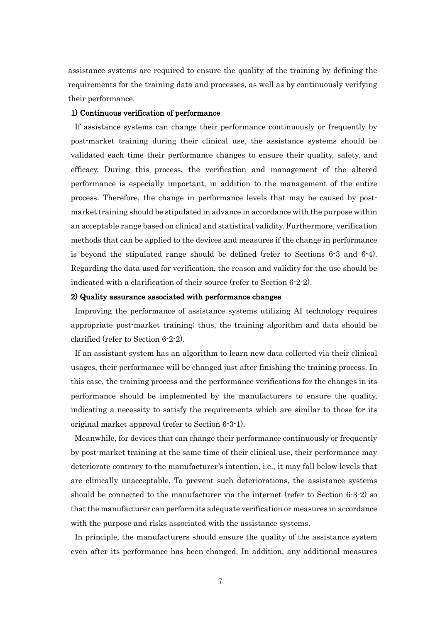assistance systems are required to ensure the quality of the training by defining the requirements for the training data and processes, as well as by continuously verifying their performance.

### 1) Continuous verification of performance

If assistance systems can change their performance continuously or frequently by post-market training during their clinical use, the assistance systems should be validated each time their performance changes to ensure their quality, safety, and efficacy. During this process, the verification and management of the altered performance is especially important, in addition to the management of the entire process. Therefore, the change in performance levels that may be caused by postmarket training should be stipulated in advance in accordance with the purpose within an acceptable range based on clinical and statistical validity. Furthermore, verification methods that can be applied to the devices and measures if the change in performance is beyond the stipulated range should be defined (refer to Sections 6-3 and 6-4). Regarding the data used for verification, the reason and validity for the use should be indicated with a clarification of their source (refer to Section 6-2-2).

## 2) Quality assurance associated with performance changes

Improving the performance of assistance systems utilizing AI technology requires appropriate post-market training; thus, the training algorithm and data should be clarified (refer to Section 6-2-2).

If an assistant system has an algorithm to learn new data collected via their clinical usages, their performance will be changed just after finishing the training process. In this case, the training process and the performance verifications for the changes in its performance should be implemented by the manufacturers to ensure the quality, indicating a necessity to satisfy the requirements which are similar to those for its original market approval (refer to Section 6-3-1).

Meanwhile, for devices that can change their performance continuously or frequently by post-market training at the same time of their clinical use, their performance may deteriorate contrary to the manufacturer's intention, i.e., it may fall below levels that are clinically unacceptable. To prevent such deteriorations, the assistance systems should be connected to the manufacturer via the internet (refer to Section 6-3-2) so that the manufacturer can perform its adequate verification or measures in accordance with the purpose and risks associated with the assistance systems.

In principle, the manufacturers should ensure the quality of the assistance system even after its performance has been changed. In addition, any additional measures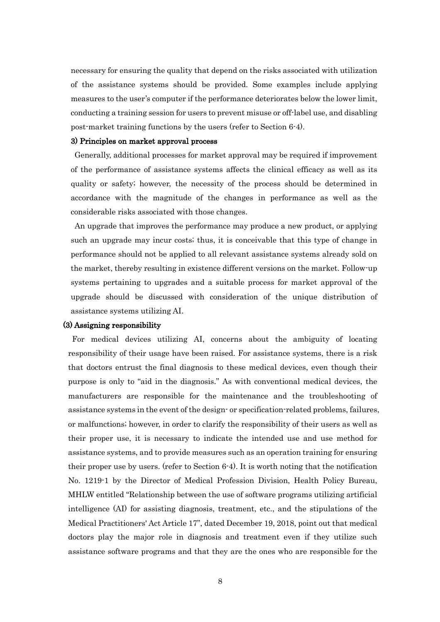necessary for ensuring the quality that depend on the risks associated with utilization of the assistance systems should be provided. Some examples include applying measures to the user's computer if the performance deteriorates below the lower limit, conducting a training session for users to prevent misuse or off-label use, and disabling post-market training functions by the users (refer to Section 6-4).

## 3) Principles on market approval process

Generally, additional processes for market approval may be required if improvement of the performance of assistance systems affects the clinical efficacy as well as its quality or safety; however, the necessity of the process should be determined in accordance with the magnitude of the changes in performance as well as the considerable risks associated with those changes.

An upgrade that improves the performance may produce a new product, or applying such an upgrade may incur costs; thus, it is conceivable that this type of change in performance should not be applied to all relevant assistance systems already sold on the market, thereby resulting in existence different versions on the market. Follow-up systems pertaining to upgrades and a suitable process for market approval of the upgrade should be discussed with consideration of the unique distribution of assistance systems utilizing AI.

### (3) Assigning responsibility

For medical devices utilizing AI, concerns about the ambiguity of locating responsibility of their usage have been raised. For assistance systems, there is a risk that doctors entrust the final diagnosis to these medical devices, even though their purpose is only to "aid in the diagnosis." As with conventional medical devices, the manufacturers are responsible for the maintenance and the troubleshooting of assistance systems in the event of the design- or specification-related problems, failures, or malfunctions; however, in order to clarify the responsibility of their users as well as their proper use, it is necessary to indicate the intended use and use method for assistance systems, and to provide measures such as an operation training for ensuring their proper use by users. (refer to Section 6-4). It is worth noting that the notification No. 1219-1 by the Director of Medical Profession Division, Health Policy Bureau, MHLW entitled "Relationship between the use of software programs utilizing artificial intelligence (AI) for assisting diagnosis, treatment, etc., and the stipulations of the Medical Practitioners' Act Article 17", dated December 19, 2018, point out that medical doctors play the major role in diagnosis and treatment even if they utilize such assistance software programs and that they are the ones who are responsible for the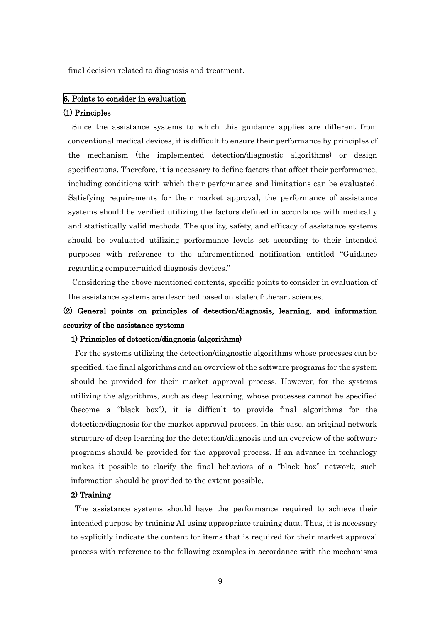final decision related to diagnosis and treatment.

# 6. Points to consider in evaluation

### (1) Principles

Since the assistance systems to which this guidance applies are different from conventional medical devices, it is difficult to ensure their performance by principles of the mechanism (the implemented detection/diagnostic algorithms) or design specifications. Therefore, it is necessary to define factors that affect their performance, including conditions with which their performance and limitations can be evaluated. Satisfying requirements for their market approval, the performance of assistance systems should be verified utilizing the factors defined in accordance with medically and statistically valid methods. The quality, safety, and efficacy of assistance systems should be evaluated utilizing performance levels set according to their intended purposes with reference to the aforementioned notification entitled "Guidance regarding computer-aided diagnosis devices."

Considering the above-mentioned contents, specific points to consider in evaluation of the assistance systems are described based on state-of-the-art sciences.

# (2) General points on principles of detection/diagnosis, learning, and information security of the assistance systems

# 1) Principles of detection/diagnosis (algorithms)

For the systems utilizing the detection/diagnostic algorithms whose processes can be specified, the final algorithms and an overview of the software programs for the system should be provided for their market approval process. However, for the systems utilizing the algorithms, such as deep learning, whose processes cannot be specified (become a "black box"), it is difficult to provide final algorithms for the detection/diagnosis for the market approval process. In this case, an original network structure of deep learning for the detection/diagnosis and an overview of the software programs should be provided for the approval process. If an advance in technology makes it possible to clarify the final behaviors of a "black box" network, such information should be provided to the extent possible.

#### 2) Training

The assistance systems should have the performance required to achieve their intended purpose by training AI using appropriate training data. Thus, it is necessary to explicitly indicate the content for items that is required for their market approval process with reference to the following examples in accordance with the mechanisms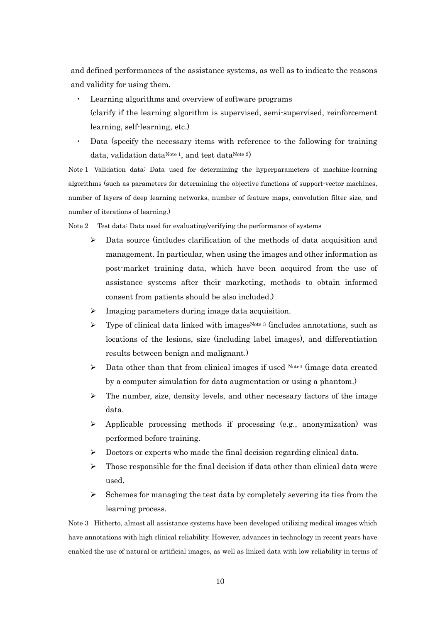and defined performances of the assistance systems, as well as to indicate the reasons and validity for using them.

- ・ Learning algorithms and overview of software programs (clarify if the learning algorithm is supervised, semi-supervised, reinforcement learning, self-learning, etc.)
- Data (specify the necessary items with reference to the following for training data, validation data<sup>Note 1</sup>, and test data<sup>Note 2</sup>)

Note 1 Validation data: Data used for determining the hyperparameters of machine-learning algorithms (such as parameters for determining the objective functions of support-vector machines, number of layers of deep learning networks, number of feature maps, convolution filter size, and number of iterations of learning.)

Note 2 Test data: Data used for evaluating/verifying the performance of systems

- Data source (includes clarification of the methods of data acquisition and management. In particular, when using the images and other information as post-market training data, which have been acquired from the use of assistance systems after their marketing, methods to obtain informed consent from patients should be also included.)
- $\triangleright$  Imaging parameters during image data acquisition.
- $\triangleright$  Type of clinical data linked with images<sup>Note 3</sup> (includes annotations, such as locations of the lesions, size (including label images), and differentiation results between benign and malignant.)
- $\triangleright$  Data other than that from clinical images if used Note4 (image data created by a computer simulation for data augmentation or using a phantom.)
- $\triangleright$  The number, size, density levels, and other necessary factors of the image data.
- $\triangleright$  Applicable processing methods if processing (e.g., anonymization) was performed before training.
- $\triangleright$  Doctors or experts who made the final decision regarding clinical data.
- $\triangleright$  Those responsible for the final decision if data other than clinical data were used.
- $\triangleright$  Schemes for managing the test data by completely severing its ties from the learning process.

Note 3 Hitherto, almost all assistance systems have been developed utilizing medical images which have annotations with high clinical reliability. However, advances in technology in recent years have enabled the use of natural or artificial images, as well as linked data with low reliability in terms of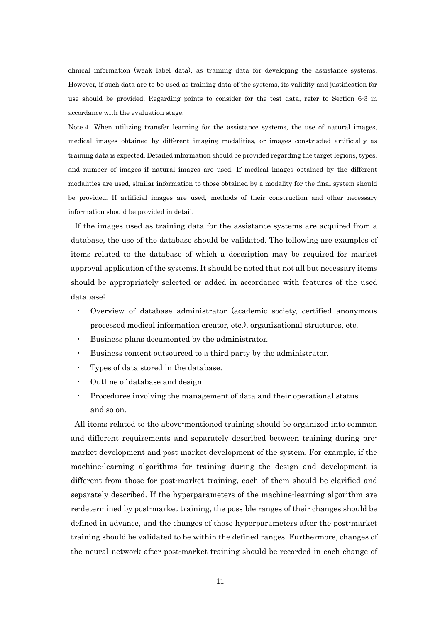clinical information (weak label data), as training data for developing the assistance systems. However, if such data are to be used as training data of the systems, its validity and justification for use should be provided. Regarding points to consider for the test data, refer to Section 6-3 in accordance with the evaluation stage.

Note 4 When utilizing transfer learning for the assistance systems, the use of natural images, medical images obtained by different imaging modalities, or images constructed artificially as training data is expected. Detailed information should be provided regarding the target legions, types, and number of images if natural images are used. If medical images obtained by the different modalities are used, similar information to those obtained by a modality for the final system should be provided. If artificial images are used, methods of their construction and other necessary information should be provided in detail.

If the images used as training data for the assistance systems are acquired from a database, the use of the database should be validated. The following are examples of items related to the database of which a description may be required for market approval application of the systems. It should be noted that not all but necessary items should be appropriately selected or added in accordance with features of the used database:

- ・ Overview of database administrator (academic society, certified anonymous processed medical information creator, etc.), organizational structures, etc.
- ・ Business plans documented by the administrator.
- ・ Business content outsourced to a third party by the administrator.
- ・ Types of data stored in the database.
- Outline of database and design.
- ・ Procedures involving the management of data and their operational status and so on.

All items related to the above-mentioned training should be organized into common and different requirements and separately described between training during premarket development and post-market development of the system. For example, if the machine-learning algorithms for training during the design and development is different from those for post-market training, each of them should be clarified and separately described. If the hyperparameters of the machine-learning algorithm are re-determined by post-market training, the possible ranges of their changes should be defined in advance, and the changes of those hyperparameters after the post-market training should be validated to be within the defined ranges. Furthermore, changes of the neural network after post-market training should be recorded in each change of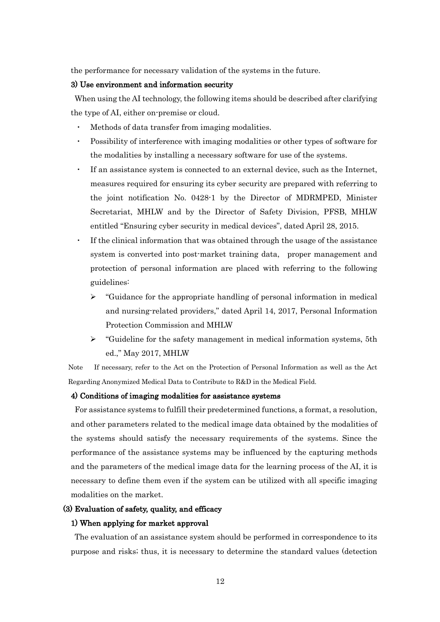the performance for necessary validation of the systems in the future.

### 3) Use environment and information security

When using the AI technology, the following items should be described after clarifying the type of AI, either on-premise or cloud.

- Methods of data transfer from imaging modalities.
- Possibility of interference with imaging modalities or other types of software for the modalities by installing a necessary software for use of the systems.
- If an assistance system is connected to an external device, such as the Internet, measures required for ensuring its cyber security are prepared with referring to the joint notification No. 0428-1 by the Director of MDRMPED, Minister Secretariat, MHLW and by the Director of Safety Division, PFSB, MHLW entitled "Ensuring cyber security in medical devices", dated April 28, 2015.
- If the clinical information that was obtained through the usage of the assistance system is converted into post-market training data, proper management and protection of personal information are placed with referring to the following guidelines:
	- $\triangleright$  "Guidance for the appropriate handling of personal information in medical and nursing-related providers," dated April 14, 2017, Personal Information Protection Commission and MHLW
	- $\triangleright$  "Guideline for the safety management in medical information systems, 5th ed.," May 2017, MHLW

Note If necessary, refer to the Act on the Protection of Personal Information as well as the Act Regarding Anonymized Medical Data to Contribute to R&D in the Medical Field.

### 4) Conditions of imaging modalities for assistance systems

For assistance systems to fulfill their predetermined functions, a format, a resolution, and other parameters related to the medical image data obtained by the modalities of the systems should satisfy the necessary requirements of the systems. Since the performance of the assistance systems may be influenced by the capturing methods and the parameters of the medical image data for the learning process of the AI, it is necessary to define them even if the system can be utilized with all specific imaging modalities on the market.

# (3) Evaluation of safety, quality, and efficacy

# 1) When applying for market approval

The evaluation of an assistance system should be performed in correspondence to its purpose and risks; thus, it is necessary to determine the standard values (detection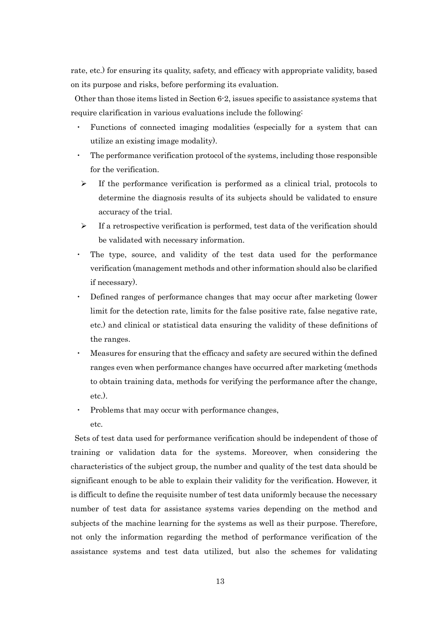rate, etc.) for ensuring its quality, safety, and efficacy with appropriate validity, based on its purpose and risks, before performing its evaluation.

Other than those items listed in Section 6-2, issues specific to assistance systems that require clarification in various evaluations include the following:

- Functions of connected imaging modalities (especially for a system that can utilize an existing image modality).
- The performance verification protocol of the systems, including those responsible for the verification.
- $\triangleright$  If the performance verification is performed as a clinical trial, protocols to determine the diagnosis results of its subjects should be validated to ensure accuracy of the trial.
- $\triangleright$  If a retrospective verification is performed, test data of the verification should be validated with necessary information.
- The type, source, and validity of the test data used for the performance verification (management methods and other information should also be clarified if necessary).
- Defined ranges of performance changes that may occur after marketing (lower limit for the detection rate, limits for the false positive rate, false negative rate, etc.) and clinical or statistical data ensuring the validity of these definitions of the ranges.
- Measures for ensuring that the efficacy and safety are secured within the defined ranges even when performance changes have occurred after marketing (methods to obtain training data, methods for verifying the performance after the change, etc.).
- Problems that may occur with performance changes, etc.

Sets of test data used for performance verification should be independent of those of training or validation data for the systems. Moreover, when considering the characteristics of the subject group, the number and quality of the test data should be significant enough to be able to explain their validity for the verification. However, it is difficult to define the requisite number of test data uniformly because the necessary number of test data for assistance systems varies depending on the method and subjects of the machine learning for the systems as well as their purpose. Therefore, not only the information regarding the method of performance verification of the assistance systems and test data utilized, but also the schemes for validating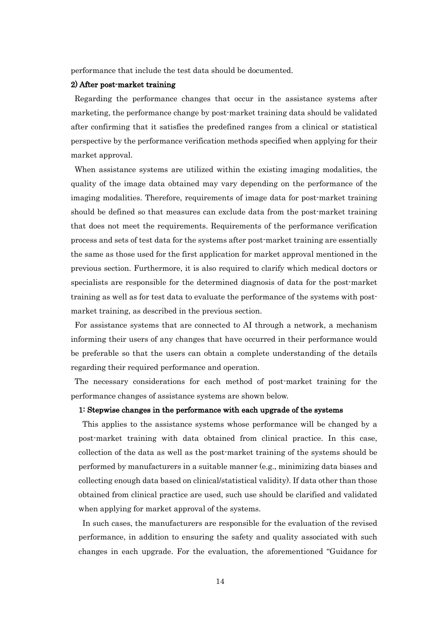performance that include the test data should be documented.

#### 2) After post-market training

Regarding the performance changes that occur in the assistance systems after marketing, the performance change by post-market training data should be validated after confirming that it satisfies the predefined ranges from a clinical or statistical perspective by the performance verification methods specified when applying for their market approval.

When assistance systems are utilized within the existing imaging modalities, the quality of the image data obtained may vary depending on the performance of the imaging modalities. Therefore, requirements of image data for post-market training should be defined so that measures can exclude data from the post-market training that does not meet the requirements. Requirements of the performance verification process and sets of test data for the systems after post-market training are essentially the same as those used for the first application for market approval mentioned in the previous section. Furthermore, it is also required to clarify which medical doctors or specialists are responsible for the determined diagnosis of data for the post-market training as well as for test data to evaluate the performance of the systems with postmarket training, as described in the previous section.

For assistance systems that are connected to AI through a network, a mechanism informing their users of any changes that have occurred in their performance would be preferable so that the users can obtain a complete understanding of the details regarding their required performance and operation.

The necessary considerations for each method of post-market training for the performance changes of assistance systems are shown below.

### 1: Stepwise changes in the performance with each upgrade of the systems

This applies to the assistance systems whose performance will be changed by a post-market training with data obtained from clinical practice. In this case, collection of the data as well as the post-market training of the systems should be performed by manufacturers in a suitable manner (e.g., minimizing data biases and collecting enough data based on clinical/statistical validity). If data other than those obtained from clinical practice are used, such use should be clarified and validated when applying for market approval of the systems.

In such cases, the manufacturers are responsible for the evaluation of the revised performance, in addition to ensuring the safety and quality associated with such changes in each upgrade. For the evaluation, the aforementioned "Guidance for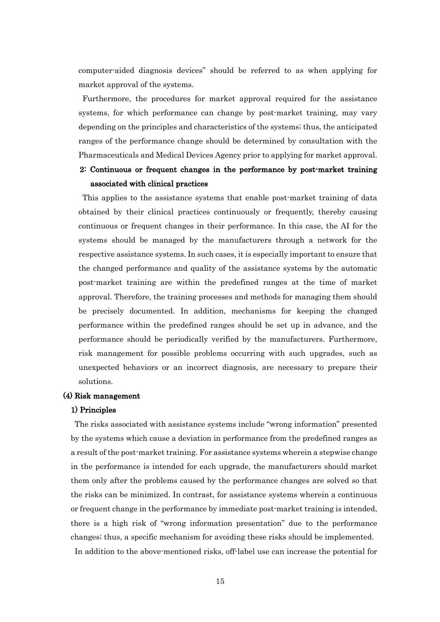computer-aided diagnosis devices" should be referred to as when applying for market approval of the systems.

Furthermore, the procedures for market approval required for the assistance systems, for which performance can change by post-market training, may vary depending on the principles and characteristics of the systems; thus, the anticipated ranges of the performance change should be determined by consultation with the Pharmaceuticals and Medical Devices Agency prior to applying for market approval.

# 2: Continuous or frequent changes in the performance by post-market training associated with clinical practices

This applies to the assistance systems that enable post-market training of data obtained by their clinical practices continuously or frequently, thereby causing continuous or frequent changes in their performance. In this case, the AI for the systems should be managed by the manufacturers through a network for the respective assistance systems. In such cases, it is especially important to ensure that the changed performance and quality of the assistance systems by the automatic post-market training are within the predefined ranges at the time of market approval. Therefore, the training processes and methods for managing them should be precisely documented. In addition, mechanisms for keeping the changed performance within the predefined ranges should be set up in advance, and the performance should be periodically verified by the manufacturers. Furthermore, risk management for possible problems occurring with such upgrades, such as unexpected behaviors or an incorrect diagnosis, are necessary to prepare their solutions.

# (4) Risk management

#### 1) Principles

The risks associated with assistance systems include "wrong information" presented by the systems which cause a deviation in performance from the predefined ranges as a result of the post-market training. For assistance systems wherein a stepwise change in the performance is intended for each upgrade, the manufacturers should market them only after the problems caused by the performance changes are solved so that the risks can be minimized. In contrast, for assistance systems wherein a continuous or frequent change in the performance by immediate post-market training is intended, there is a high risk of "wrong information presentation" due to the performance changes; thus, a specific mechanism for avoiding these risks should be implemented. In addition to the above-mentioned risks, off-label use can increase the potential for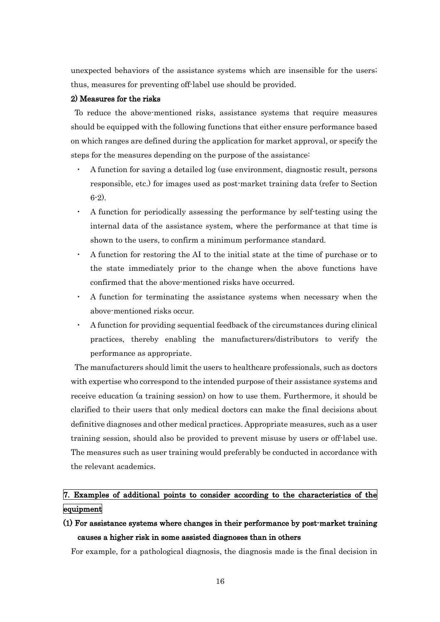unexpected behaviors of the assistance systems which are insensible for the users; thus, measures for preventing off-label use should be provided.

## 2) Measures for the risks

To reduce the above-mentioned risks, assistance systems that require measures should be equipped with the following functions that either ensure performance based on which ranges are defined during the application for market approval, or specify the steps for the measures depending on the purpose of the assistance:

- ・ A function for saving a detailed log (use environment, diagnostic result, persons responsible, etc.) for images used as post-market training data (refer to Section 6-2).
- ・ A function for periodically assessing the performance by self-testing using the internal data of the assistance system, where the performance at that time is shown to the users, to confirm a minimum performance standard.
- ・ A function for restoring the AI to the initial state at the time of purchase or to the state immediately prior to the change when the above functions have confirmed that the above-mentioned risks have occurred.
- A function for terminating the assistance systems when necessary when the above-mentioned risks occur.
- ・ A function for providing sequential feedback of the circumstances during clinical practices, thereby enabling the manufacturers/distributors to verify the performance as appropriate.

The manufacturers should limit the users to healthcare professionals, such as doctors with expertise who correspond to the intended purpose of their assistance systems and receive education (a training session) on how to use them. Furthermore, it should be clarified to their users that only medical doctors can make the final decisions about definitive diagnoses and other medical practices. Appropriate measures, such as a user training session, should also be provided to prevent misuse by users or off-label use. The measures such as user training would preferably be conducted in accordance with the relevant academics.

# 7. Examples of additional points to consider according to the characteristics of the equipment

(1) For assistance systems where changes in their performance by post-market training causes a higher risk in some assisted diagnoses than in others

For example, for a pathological diagnosis, the diagnosis made is the final decision in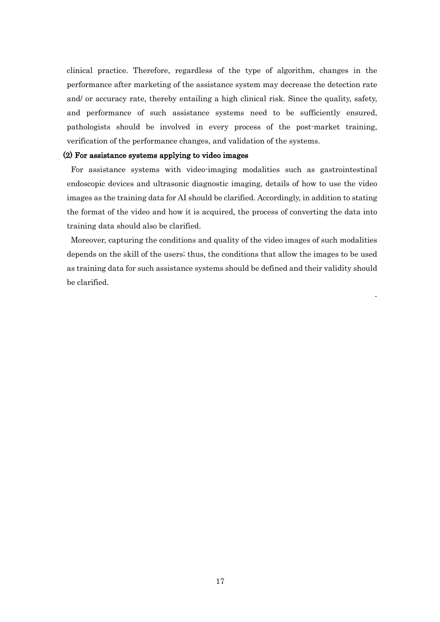clinical practice. Therefore, regardless of the type of algorithm, changes in the performance after marketing of the assistance system may decrease the detection rate and/ or accuracy rate, thereby entailing a high clinical risk. Since the quality, safety, and performance of such assistance systems need to be sufficiently ensured, pathologists should be involved in every process of the post-market training, verification of the performance changes, and validation of the systems.

## (2) For assistance systems applying to video images

For assistance systems with video-imaging modalities such as gastrointestinal endoscopic devices and ultrasonic diagnostic imaging, details of how to use the video images as the training data for AI should be clarified. Accordingly, in addition to stating the format of the video and how it is acquired, the process of converting the data into training data should also be clarified.

Moreover, capturing the conditions and quality of the video images of such modalities depends on the skill of the users; thus, the conditions that allow the images to be used as training data for such assistance systems should be defined and their validity should be clarified.

-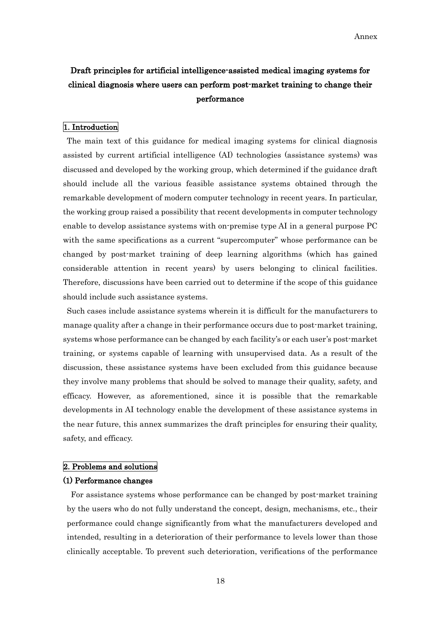# Draft principles for artificial intelligence-assisted medical imaging systems for clinical diagnosis where users can perform post-market training to change their performance

## 1. Introduction

The main text of this guidance for medical imaging systems for clinical diagnosis assisted by current artificial intelligence (AI) technologies (assistance systems) was discussed and developed by the working group, which determined if the guidance draft should include all the various feasible assistance systems obtained through the remarkable development of modern computer technology in recent years. In particular, the working group raised a possibility that recent developments in computer technology enable to develop assistance systems with on-premise type AI in a general purpose PC with the same specifications as a current "supercomputer" whose performance can be changed by post-market training of deep learning algorithms (which has gained considerable attention in recent years) by users belonging to clinical facilities. Therefore, discussions have been carried out to determine if the scope of this guidance should include such assistance systems.

Such cases include assistance systems wherein it is difficult for the manufacturers to manage quality after a change in their performance occurs due to post-market training, systems whose performance can be changed by each facility's or each user's post-market training, or systems capable of learning with unsupervised data. As a result of the discussion, these assistance systems have been excluded from this guidance because they involve many problems that should be solved to manage their quality, safety, and efficacy. However, as aforementioned, since it is possible that the remarkable developments in AI technology enable the development of these assistance systems in the near future, this annex summarizes the draft principles for ensuring their quality, safety, and efficacy.

# 2. Problems and solutions

## (1) Performance changes

For assistance systems whose performance can be changed by post-market training by the users who do not fully understand the concept, design, mechanisms, etc., their performance could change significantly from what the manufacturers developed and intended, resulting in a deterioration of their performance to levels lower than those clinically acceptable. To prevent such deterioration, verifications of the performance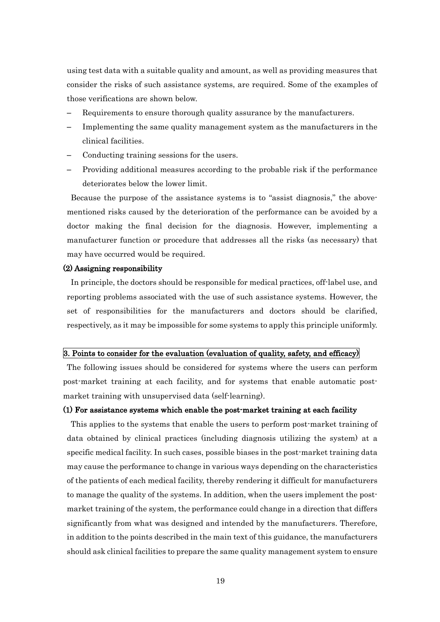using test data with a suitable quality and amount, as well as providing measures that consider the risks of such assistance systems, are required. Some of the examples of those verifications are shown below.

- Requirements to ensure thorough quality assurance by the manufacturers.
- Implementing the same quality management system as the manufacturers in the clinical facilities.
- Conducting training sessions for the users.
- Providing additional measures according to the probable risk if the performance deteriorates below the lower limit.

Because the purpose of the assistance systems is to "assist diagnosis," the abovementioned risks caused by the deterioration of the performance can be avoided by a doctor making the final decision for the diagnosis. However, implementing a manufacturer function or procedure that addresses all the risks (as necessary) that may have occurred would be required.

#### (2) Assigning responsibility

In principle, the doctors should be responsible for medical practices, off-label use, and reporting problems associated with the use of such assistance systems. However, the set of responsibilities for the manufacturers and doctors should be clarified, respectively, as it may be impossible for some systems to apply this principle uniformly.

# 3. Points to consider for the evaluation (evaluation of quality, safety, and efficacy)

The following issues should be considered for systems where the users can perform post-market training at each facility, and for systems that enable automatic postmarket training with unsupervised data (self-learning).

## (1) For assistance systems which enable the post-market training at each facility

This applies to the systems that enable the users to perform post-market training of data obtained by clinical practices (including diagnosis utilizing the system) at a specific medical facility. In such cases, possible biases in the post-market training data may cause the performance to change in various ways depending on the characteristics of the patients of each medical facility, thereby rendering it difficult for manufacturers to manage the quality of the systems. In addition, when the users implement the postmarket training of the system, the performance could change in a direction that differs significantly from what was designed and intended by the manufacturers. Therefore, in addition to the points described in the main text of this guidance, the manufacturers should ask clinical facilities to prepare the same quality management system to ensure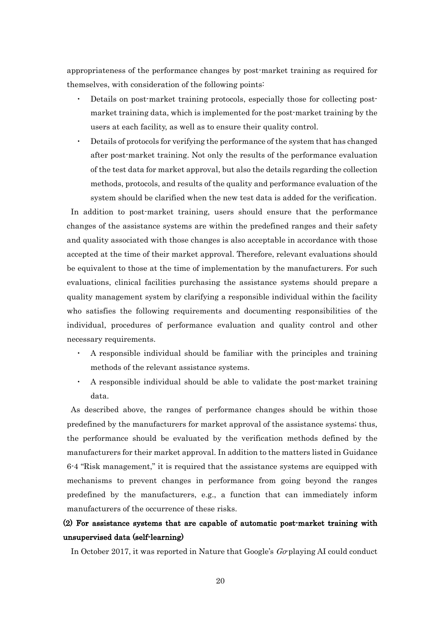appropriateness of the performance changes by post-market training as required for themselves, with consideration of the following points:

- Details on post-market training protocols, especially those for collecting postmarket training data, which is implemented for the post-market training by the users at each facility, as well as to ensure their quality control.
- Details of protocols for verifying the performance of the system that has changed after post-market training. Not only the results of the performance evaluation of the test data for market approval, but also the details regarding the collection methods, protocols, and results of the quality and performance evaluation of the system should be clarified when the new test data is added for the verification.

In addition to post-market training, users should ensure that the performance changes of the assistance systems are within the predefined ranges and their safety and quality associated with those changes is also acceptable in accordance with those accepted at the time of their market approval. Therefore, relevant evaluations should be equivalent to those at the time of implementation by the manufacturers. For such evaluations, clinical facilities purchasing the assistance systems should prepare a quality management system by clarifying a responsible individual within the facility who satisfies the following requirements and documenting responsibilities of the individual, procedures of performance evaluation and quality control and other necessary requirements.

- ・ A responsible individual should be familiar with the principles and training methods of the relevant assistance systems.
- ・ A responsible individual should be able to validate the post-market training data.

As described above, the ranges of performance changes should be within those predefined by the manufacturers for market approval of the assistance systems; thus, the performance should be evaluated by the verification methods defined by the manufacturers for their market approval. In addition to the matters listed in Guidance 6-4 "Risk management," it is required that the assistance systems are equipped with mechanisms to prevent changes in performance from going beyond the ranges predefined by the manufacturers, e.g., a function that can immediately inform manufacturers of the occurrence of these risks.

# (2) For assistance systems that are capable of automatic post-market training with unsupervised data (self-learning)

In October 2017, it was reported in Nature that Google's Go-playing AI could conduct